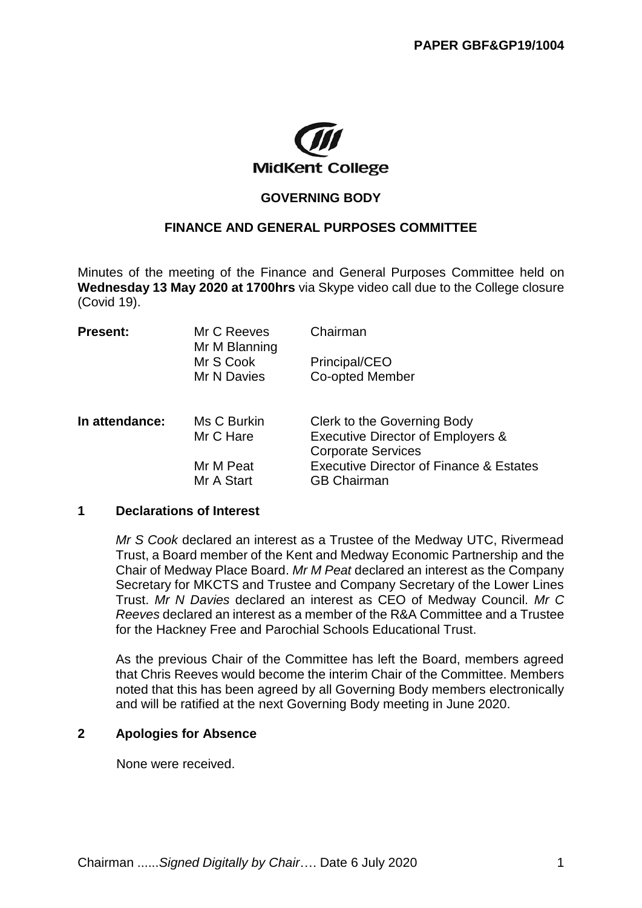

# **GOVERNING BODY**

# **FINANCE AND GENERAL PURPOSES COMMITTEE**

Minutes of the meeting of the Finance and General Purposes Committee held on **Wednesday 13 May 2020 at 1700hrs** via Skype video call due to the College closure (Covid 19).

| <b>Present:</b> | Mr C Reeves<br>Mr M Blanning | Chairman                                                       |
|-----------------|------------------------------|----------------------------------------------------------------|
|                 | Mr S Cook                    | Principal/CEO                                                  |
|                 | Mr N Davies                  | Co-opted Member                                                |
| In attendance:  | Ms C Burkin                  | Clerk to the Governing Body                                    |
|                 | Mr C Hare                    | Executive Director of Employers &<br><b>Corporate Services</b> |
|                 | Mr M Peat                    | <b>Executive Director of Finance &amp; Estates</b>             |
|                 | Mr A Start                   | <b>GB Chairman</b>                                             |

#### **1 Declarations of Interest**

*Mr S Cook* declared an interest as a Trustee of the Medway UTC, Rivermead Trust, a Board member of the Kent and Medway Economic Partnership and the Chair of Medway Place Board. *Mr M Peat* declared an interest as the Company Secretary for MKCTS and Trustee and Company Secretary of the Lower Lines Trust. *Mr N Davies* declared an interest as CEO of Medway Council. *Mr C Reeves* declared an interest as a member of the R&A Committee and a Trustee for the Hackney Free and Parochial Schools Educational Trust.

As the previous Chair of the Committee has left the Board, members agreed that Chris Reeves would become the interim Chair of the Committee. Members noted that this has been agreed by all Governing Body members electronically and will be ratified at the next Governing Body meeting in June 2020.

#### **2 Apologies for Absence**

None were received.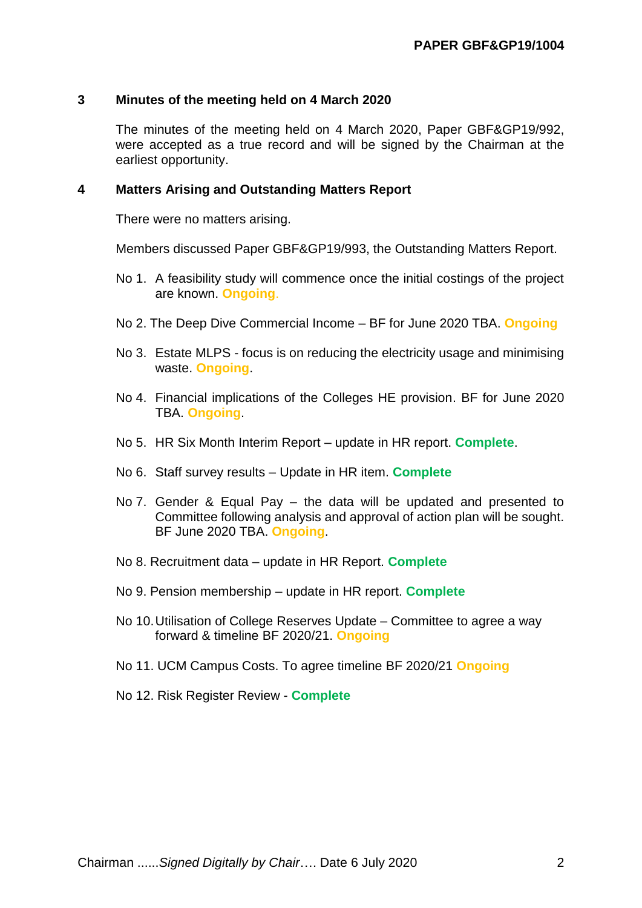# **3 Minutes of the meeting held on 4 March 2020**

The minutes of the meeting held on 4 March 2020, Paper GBF&GP19/992, were accepted as a true record and will be signed by the Chairman at the earliest opportunity.

#### **4 Matters Arising and Outstanding Matters Report**

There were no matters arising.

Members discussed Paper GBF&GP19/993, the Outstanding Matters Report.

- No 1. A feasibility study will commence once the initial costings of the project are known. **Ongoing**.
- No 2. The Deep Dive Commercial Income BF for June 2020 TBA. **Ongoing**
- No 3. Estate MLPS focus is on reducing the electricity usage and minimising waste. **Ongoing**.
- No 4. Financial implications of the Colleges HE provision. BF for June 2020 TBA. **Ongoing**.
- No 5. HR Six Month Interim Report update in HR report. **Complete**.
- No 6. Staff survey results Update in HR item. **Complete**
- No 7. Gender & Equal Pay the data will be updated and presented to Committee following analysis and approval of action plan will be sought. BF June 2020 TBA. **Ongoing**.
- No 8. Recruitment data update in HR Report. **Complete**
- No 9. Pension membership update in HR report. **Complete**
- No 10.Utilisation of College Reserves Update Committee to agree a way forward & timeline BF 2020/21. **Ongoing**
- No 11. UCM Campus Costs. To agree timeline BF 2020/21 **Ongoing**
- No 12. Risk Register Review **Complete**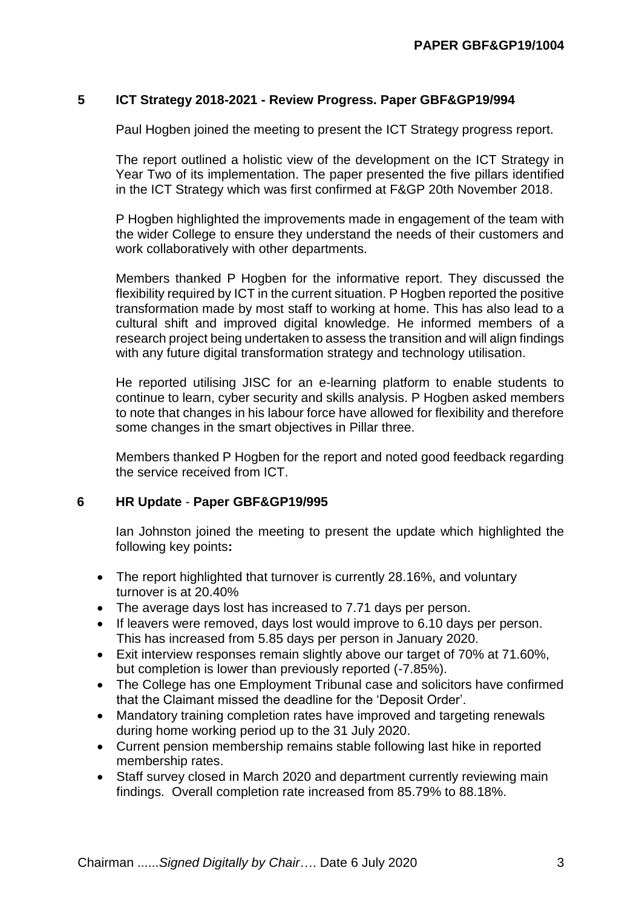# **5 ICT Strategy 2018-2021 - Review Progress. Paper GBF&GP19/994**

Paul Hogben joined the meeting to present the ICT Strategy progress report.

The report outlined a holistic view of the development on the ICT Strategy in Year Two of its implementation. The paper presented the five pillars identified in the ICT Strategy which was first confirmed at F&GP 20th November 2018.

P Hogben highlighted the improvements made in engagement of the team with the wider College to ensure they understand the needs of their customers and work collaboratively with other departments.

Members thanked P Hogben for the informative report. They discussed the flexibility required by ICT in the current situation. P Hogben reported the positive transformation made by most staff to working at home. This has also lead to a cultural shift and improved digital knowledge. He informed members of a research project being undertaken to assess the transition and will align findings with any future digital transformation strategy and technology utilisation.

He reported utilising JISC for an e-learning platform to enable students to continue to learn, cyber security and skills analysis. P Hogben asked members to note that changes in his labour force have allowed for flexibility and therefore some changes in the smart objectives in Pillar three.

Members thanked P Hogben for the report and noted good feedback regarding the service received from ICT.

#### **6 HR Update** - **Paper GBF&GP19/995**

Ian Johnston joined the meeting to present the update which highlighted the following key points**:**

- The report highlighted that turnover is currently 28.16%, and voluntary turnover is at 20.40%
- The average days lost has increased to 7.71 days per person.
- If leavers were removed, days lost would improve to 6.10 days per person. This has increased from 5.85 days per person in January 2020.
- Exit interview responses remain slightly above our target of 70% at 71.60%, but completion is lower than previously reported (-7.85%).
- The College has one Employment Tribunal case and solicitors have confirmed that the Claimant missed the deadline for the 'Deposit Order'.
- Mandatory training completion rates have improved and targeting renewals during home working period up to the 31 July 2020.
- Current pension membership remains stable following last hike in reported membership rates.
- Staff survey closed in March 2020 and department currently reviewing main findings. Overall completion rate increased from 85.79% to 88.18%.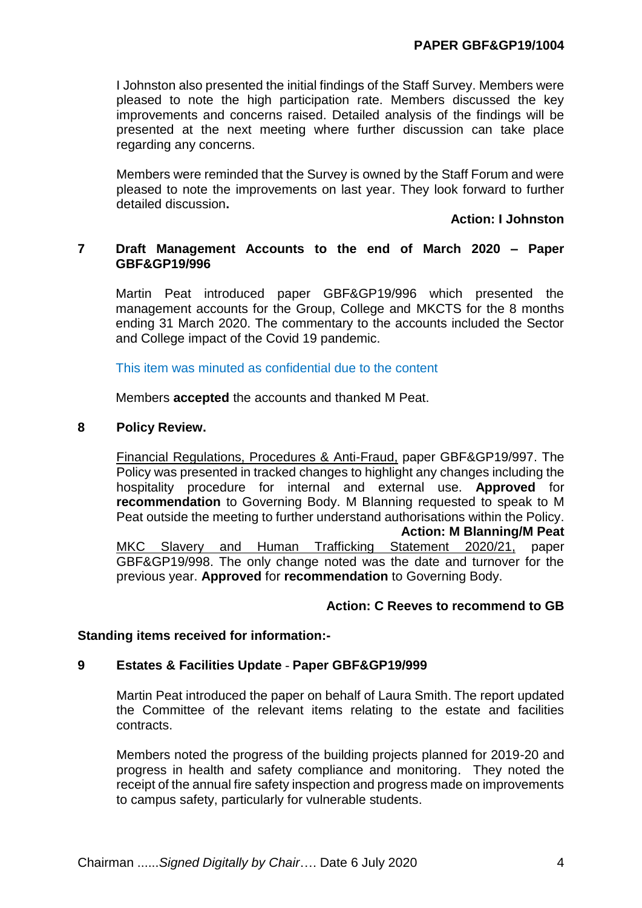I Johnston also presented the initial findings of the Staff Survey. Members were pleased to note the high participation rate. Members discussed the key improvements and concerns raised. Detailed analysis of the findings will be presented at the next meeting where further discussion can take place regarding any concerns.

Members were reminded that the Survey is owned by the Staff Forum and were pleased to note the improvements on last year. They look forward to further detailed discussion**.**

#### **Action: I Johnston**

# **7 Draft Management Accounts to the end of March 2020 – Paper GBF&GP19/996**

Martin Peat introduced paper GBF&GP19/996 which presented the management accounts for the Group, College and MKCTS for the 8 months ending 31 March 2020. The commentary to the accounts included the Sector and College impact of the Covid 19 pandemic.

This item was minuted as confidential due to the content

Members **accepted** the accounts and thanked M Peat.

#### **8 Policy Review.**

Financial Regulations, Procedures & Anti-Fraud, paper GBF&GP19/997. The Policy was presented in tracked changes to highlight any changes including the hospitality procedure for internal and external use. **Approved** for **recommendation** to Governing Body. M Blanning requested to speak to M Peat outside the meeting to further understand authorisations within the Policy. **Action: M Blanning/M Peat** MKC Slavery and Human Trafficking Statement 2020/21, paper GBF&GP19/998. The only change noted was the date and turnover for the previous year. **Approved** for **recommendation** to Governing Body.

#### **Action: C Reeves to recommend to GB**

# **Standing items received for information:-**

# **9 Estates & Facilities Update** - **Paper GBF&GP19/999**

Martin Peat introduced the paper on behalf of Laura Smith. The report updated the Committee of the relevant items relating to the estate and facilities contracts.

Members noted the progress of the building projects planned for 2019-20 and progress in health and safety compliance and monitoring. They noted the receipt of the annual fire safety inspection and progress made on improvements to campus safety, particularly for vulnerable students.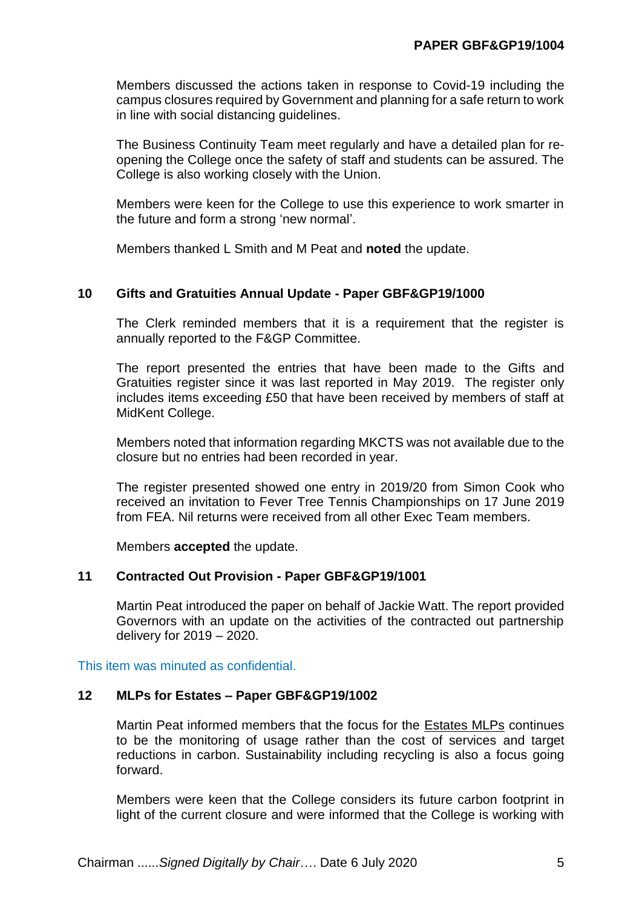Members discussed the actions taken in response to Covid-19 including the campus closures required by Government and planning for a safe return to work in line with social distancing guidelines.

The Business Continuity Team meet regularly and have a detailed plan for reopening the College once the safety of staff and students can be assured. The College is also working closely with the Union.

Members were keen for the College to use this experience to work smarter in the future and form a strong 'new normal'.

Members thanked L Smith and M Peat and **noted** the update.

#### **10 Gifts and Gratuities Annual Update - Paper GBF&GP19/1000**

The Clerk reminded members that it is a requirement that the register is annually reported to the F&GP Committee.

The report presented the entries that have been made to the Gifts and Gratuities register since it was last reported in May 2019. The register only includes items exceeding £50 that have been received by members of staff at MidKent College.

Members noted that information regarding MKCTS was not available due to the closure but no entries had been recorded in year.

The register presented showed one entry in 2019/20 from Simon Cook who received an invitation to Fever Tree Tennis Championships on 17 June 2019 from FEA. Nil returns were received from all other Exec Team members.

Members **accepted** the update.

#### **11 Contracted Out Provision - Paper GBF&GP19/1001**

Martin Peat introduced the paper on behalf of Jackie Watt. The report provided Governors with an update on the activities of the contracted out partnership delivery for 2019 – 2020.

This item was minuted as confidential.

# **12 MLPs for Estates – Paper GBF&GP19/1002**

Martin Peat informed members that the focus for the Estates MLPs continues to be the monitoring of usage rather than the cost of services and target reductions in carbon. Sustainability including recycling is also a focus going forward.

Members were keen that the College considers its future carbon footprint in light of the current closure and were informed that the College is working with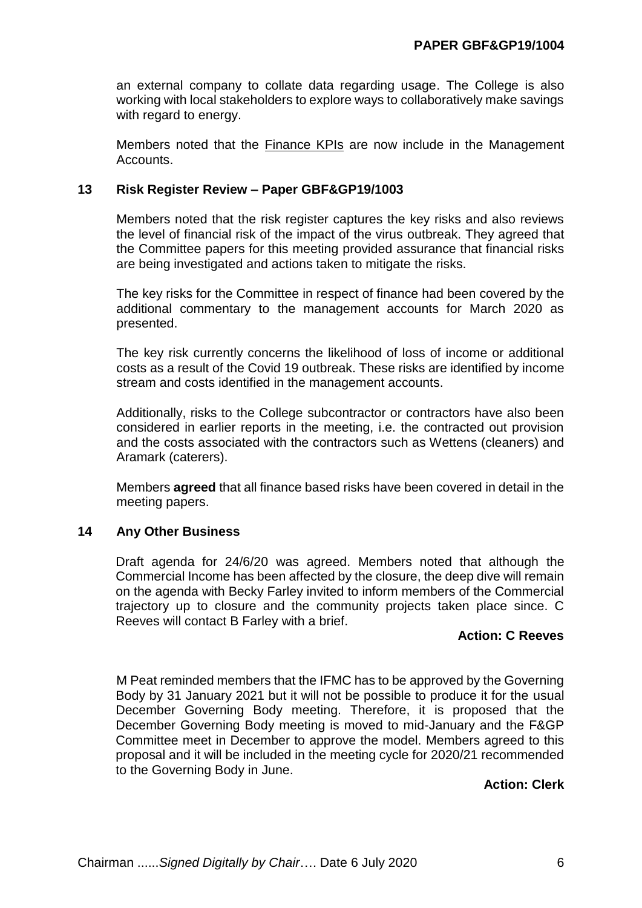an external company to collate data regarding usage. The College is also working with local stakeholders to explore ways to collaboratively make savings with regard to energy.

Members noted that the **Finance KPIs** are now include in the Management Accounts.

# **13 Risk Register Review – Paper GBF&GP19/1003**

Members noted that the risk register captures the key risks and also reviews the level of financial risk of the impact of the virus outbreak. They agreed that the Committee papers for this meeting provided assurance that financial risks are being investigated and actions taken to mitigate the risks.

The key risks for the Committee in respect of finance had been covered by the additional commentary to the management accounts for March 2020 as presented.

The key risk currently concerns the likelihood of loss of income or additional costs as a result of the Covid 19 outbreak. These risks are identified by income stream and costs identified in the management accounts.

Additionally, risks to the College subcontractor or contractors have also been considered in earlier reports in the meeting, i.e. the contracted out provision and the costs associated with the contractors such as Wettens (cleaners) and Aramark (caterers).

Members **agreed** that all finance based risks have been covered in detail in the meeting papers.

# **14 Any Other Business**

Draft agenda for 24/6/20 was agreed. Members noted that although the Commercial Income has been affected by the closure, the deep dive will remain on the agenda with Becky Farley invited to inform members of the Commercial trajectory up to closure and the community projects taken place since. C Reeves will contact B Farley with a brief.

# **Action: C Reeves**

M Peat reminded members that the IFMC has to be approved by the Governing Body by 31 January 2021 but it will not be possible to produce it for the usual December Governing Body meeting. Therefore, it is proposed that the December Governing Body meeting is moved to mid-January and the F&GP Committee meet in December to approve the model. Members agreed to this proposal and it will be included in the meeting cycle for 2020/21 recommended to the Governing Body in June.

# **Action: Clerk**